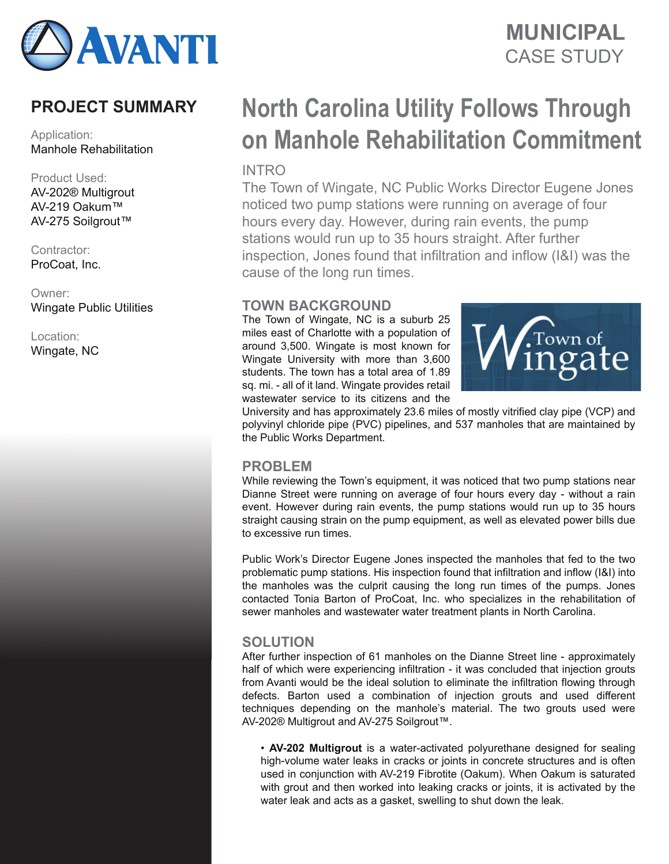

## CASE STUDY **MUNICIPAL**

### **PROJECT SUMMARY**

Application: Manhole Rehabilitation

#### Product Used:

AV-202® Multigrout AV-219 Oakum™ AV-275 Soilgrout™

Contractor: ProCoat, Inc.

Owner: Wingate Public Utilities

Location: Wingate, NC

# **North Carolina Utility Follows Through on Manhole Rehabilitation Commitment**

**INTRO** 

The Town of Wingate, NC Public Works Director Eugene Jones noticed two pump stations were running on average of four hours every day. However, during rain events, the pump stations would run up to 35 hours straight. After further inspection, Jones found that infiltration and inflow (I&I) was the cause of the long run times.

#### **TOWN BACKGROUND**

The Town of Wingate, NC is a suburb 25 miles east of Charlotte with a population of around 3,500. Wingate is most known for Wingate University with more than 3,600 students. The town has a total area of 1.89 sq. mi. - all of it land. Wingate provides retail wastewater service to its citizens and the



University and has approximately 23.6 miles of mostly vitrified clay pipe (VCP) and polyvinyl chloride pipe (PVC) pipelines, and 537 manholes that are maintained by the Public Works Department.

#### **PROBLEM**

While reviewing the Town's equipment, it was noticed that two pump stations near Dianne Street were running on average of four hours every day - without a rain event. However during rain events, the pump stations would run up to 35 hours straight causing strain on the pump equipment, as well as elevated power bills due to excessive run times.

Public Work's Director Eugene Jones inspected the manholes that fed to the two problematic pump stations. His inspection found that infiltration and inflow (I&I) into the manholes was the culprit causing the long run times of the pumps. Jones contacted Tonia Barton of ProCoat, Inc. who specializes in the rehabilitation of sewer manholes and wastewater water treatment plants in North Carolina.

#### **SOLUTION**

After further inspection of 61 manholes on the Dianne Street line - approximately half of which were experiencing infiltration - it was concluded that injection grouts from Avanti would be the ideal solution to eliminate the infiltration flowing through defects. Barton used a combination of injection grouts and used different techniques depending on the manhole's material. The two grouts used were AV-202® Multigrout and AV-275 Soilgrout™.

• **AV-202 Multigrout** is a water-activated polyurethane designed for sealing high-volume water leaks in cracks or joints in concrete structures and is often used in conjunction with AV-219 Fibrotite (Oakum). When Oakum is saturated with grout and then worked into leaking cracks or joints, it is activated by the water leak and acts as a gasket, swelling to shut down the leak.